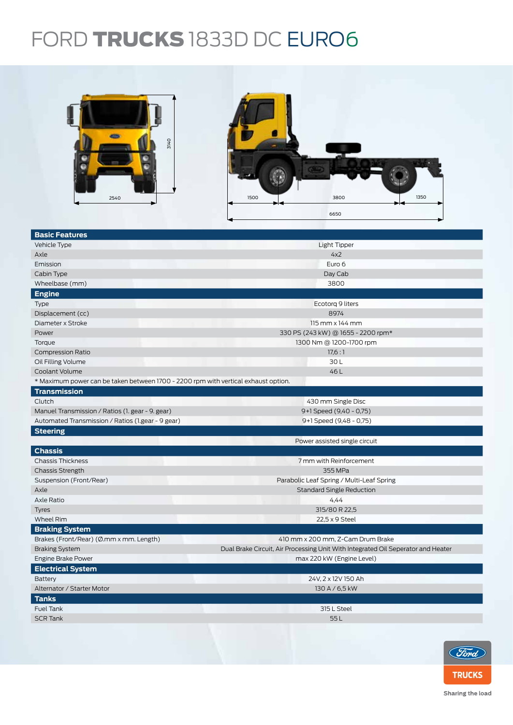## FORD TRUCKS 1833D DC EURO6



| <b>Basic Features</b>                                                              |                                                                                  |  |  |
|------------------------------------------------------------------------------------|----------------------------------------------------------------------------------|--|--|
| Vehicle Type                                                                       | Light Tipper                                                                     |  |  |
| Axle                                                                               | 4x2                                                                              |  |  |
| Emission                                                                           | Euro 6                                                                           |  |  |
| Cabin Type                                                                         | Day Cab                                                                          |  |  |
| Wheelbase (mm)                                                                     | 3800                                                                             |  |  |
| <b>Engine</b>                                                                      |                                                                                  |  |  |
| Type                                                                               | Ecotorg 9 liters                                                                 |  |  |
| Displacement (cc)                                                                  | 8974                                                                             |  |  |
| Diameter x Stroke                                                                  | $115$ mm $\times$ 144 mm                                                         |  |  |
| Power                                                                              | 330 PS (243 kW) @ 1655 - 2200 rpm*                                               |  |  |
| Torque                                                                             | 1300 Nm @ 1200-1700 rpm                                                          |  |  |
| <b>Compression Ratio</b>                                                           | 17,6:1                                                                           |  |  |
| Oil Filling Volume                                                                 | 30L                                                                              |  |  |
| Coolant Volume                                                                     | 46L                                                                              |  |  |
| * Maximum power can be taken between 1700 - 2200 rpm with vertical exhaust option. |                                                                                  |  |  |
| <b>Transmission</b>                                                                |                                                                                  |  |  |
| Clutch                                                                             | 430 mm Single Disc                                                               |  |  |
| Manuel Transmission / Ratios (1. gear - 9. gear)                                   | 9+1 Speed (9,40 - 0,75)                                                          |  |  |
| Automated Transmission / Ratios (1.gear - 9 gear)                                  | 9+1 Speed (9,48 - 0,75)                                                          |  |  |
| <b>Steering</b>                                                                    |                                                                                  |  |  |
|                                                                                    | Power assisted single circuit                                                    |  |  |
| <b>Chassis</b>                                                                     |                                                                                  |  |  |
| <b>Chassis Thickness</b>                                                           | 7 mm with Reinforcement                                                          |  |  |
| <b>Chassis Strength</b>                                                            | 355 MPa                                                                          |  |  |
| Suspension (Front/Rear)                                                            | Parabolic Leaf Spring / Multi-Leaf Spring                                        |  |  |
| Axle                                                                               | <b>Standard Single Reduction</b>                                                 |  |  |
| Axle Ratio                                                                         | 4,44                                                                             |  |  |
| <b>Tyres</b>                                                                       | 315/80 R 22,5                                                                    |  |  |
| Wheel Rim                                                                          | 22,5 x 9 Steel                                                                   |  |  |
| <b>Braking System</b>                                                              |                                                                                  |  |  |
| Brakes (Front/Rear) (Ø.mm x mm. Length)                                            | 410 mm x 200 mm, Z-Cam Drum Brake                                                |  |  |
| <b>Braking System</b>                                                              | Dual Brake Circuit, Air Processing Unit With Integrated Oil Seperator and Heater |  |  |
| <b>Engine Brake Power</b>                                                          | max 220 kW (Engine Level)                                                        |  |  |
| <b>Electrical System</b>                                                           |                                                                                  |  |  |
| Battery                                                                            | 24V, 2 x 12V 150 Ah                                                              |  |  |
| Alternator / Starter Motor                                                         | 130 A / 6,5 kW                                                                   |  |  |
| <b>Tanks</b>                                                                       |                                                                                  |  |  |
| <b>Fuel Tank</b>                                                                   | 315 L Steel                                                                      |  |  |
| <b>SCR Tank</b>                                                                    | 55L                                                                              |  |  |
|                                                                                    |                                                                                  |  |  |
|                                                                                    |                                                                                  |  |  |



Sharing the load